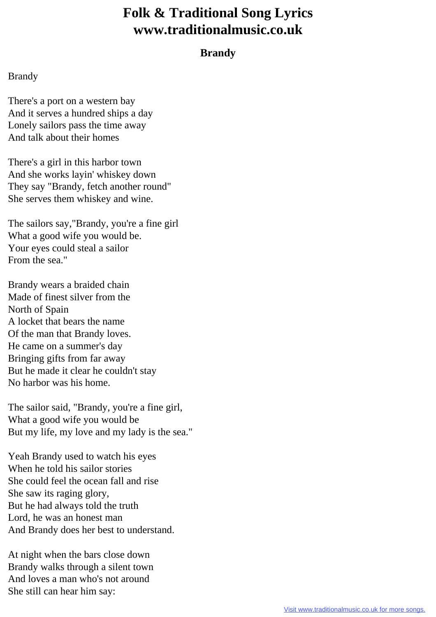## **Folk & Traditional Song Lyrics www.traditionalmusic.co.uk**

## **Brandy**

## Brandy

There's a port on a western bay And it serves a hundred ships a day Lonely sailors pass the time away And talk about their homes

There's a girl in this harbor town And she works layin' whiskey down They say "Brandy, fetch another round" She serves them whiskey and wine.

The sailors say,"Brandy, you're a fine girl What a good wife you would be. Your eyes could steal a sailor From the sea."

Brandy wears a braided chain Made of finest silver from the North of Spain A locket that bears the name Of the man that Brandy loves. He came on a summer's day Bringing gifts from far away But he made it clear he couldn't stay No harbor was his home.

The sailor said, "Brandy, you're a fine girl, What a good wife you would be But my life, my love and my lady is the sea."

Yeah Brandy used to watch his eyes When he told his sailor stories She could feel the ocean fall and rise She saw its raging glory, But he had always told the truth Lord, he was an honest man And Brandy does her best to understand.

At night when the bars close down Brandy walks through a silent town And loves a man who's not around She still can hear him say: